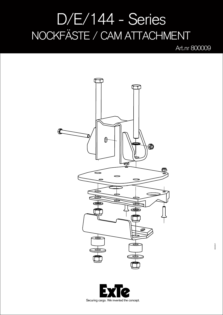## D/E/144 - Series NOCKFÄSTE / CAM ATTACHMENT

Art.nr 800009